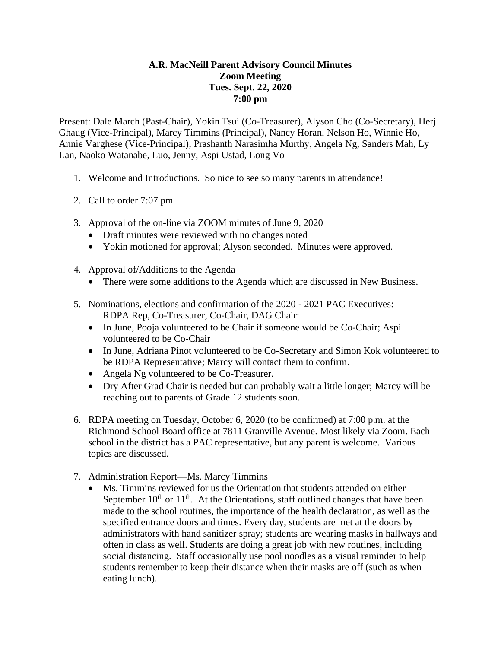## **A.R. MacNeill Parent Advisory Council Minutes Zoom Meeting Tues. Sept. 22, 2020 7:00 pm**

Present: Dale March (Past-Chair), Yokin Tsui (Co-Treasurer), Alyson Cho (Co-Secretary), Herj Ghaug (Vice-Principal), Marcy Timmins (Principal), Nancy Horan, Nelson Ho, Winnie Ho, Annie Varghese (Vice-Principal), Prashanth Narasimha Murthy, Angela Ng, Sanders Mah, Ly Lan, Naoko Watanabe, Luo, Jenny, Aspi Ustad, Long Vo

- 1. Welcome and Introductions. So nice to see so many parents in attendance!
- 2. Call to order 7:07 pm
- 3. Approval of the on-line via ZOOM minutes of June 9, 2020
	- Draft minutes were reviewed with no changes noted
	- Yokin motioned for approval; Alyson seconded. Minutes were approved.
- 4. Approval of/Additions to the Agenda
	- There were some additions to the Agenda which are discussed in New Business.
- 5. Nominations, elections and confirmation of the 2020 2021 PAC Executives: RDPA Rep, Co-Treasurer, Co-Chair, DAG Chair:
	- In June, Pooja volunteered to be Chair if someone would be Co-Chair; Aspi volunteered to be Co-Chair
	- In June, Adriana Pinot volunteered to be Co-Secretary and Simon Kok volunteered to be RDPA Representative; Marcy will contact them to confirm.
	- Angela Ng volunteered to be Co-Treasurer.
	- Dry After Grad Chair is needed but can probably wait a little longer; Marcy will be reaching out to parents of Grade 12 students soon.
- 6. RDPA meeting on Tuesday, October 6, 2020 (to be confirmed) at 7:00 p.m. at the Richmond School Board office at 7811 Granville Avenue. Most likely via Zoom. Each school in the district has a PAC representative, but any parent is welcome. Various topics are discussed.
- 7. Administration Report**—**Ms. Marcy Timmins
	- Ms. Timmins reviewed for us the Orientation that students attended on either September  $10^{th}$  or  $11^{th}$ . At the Orientations, staff outlined changes that have been made to the school routines, the importance of the health declaration, as well as the specified entrance doors and times. Every day, students are met at the doors by administrators with hand sanitizer spray; students are wearing masks in hallways and often in class as well. Students are doing a great job with new routines, including social distancing. Staff occasionally use pool noodles as a visual reminder to help students remember to keep their distance when their masks are off (such as when eating lunch).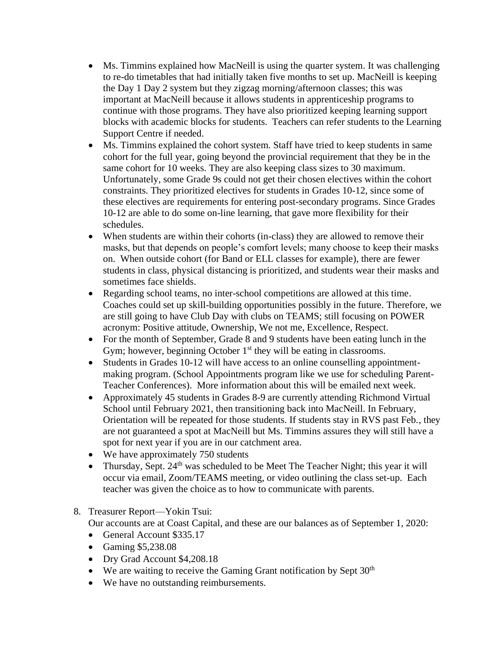- Ms. Timmins explained how MacNeill is using the quarter system. It was challenging to re-do timetables that had initially taken five months to set up. MacNeill is keeping the Day 1 Day 2 system but they zigzag morning/afternoon classes; this was important at MacNeill because it allows students in apprenticeship programs to continue with those programs. They have also prioritized keeping learning support blocks with academic blocks for students. Teachers can refer students to the Learning Support Centre if needed.
- Ms. Timmins explained the cohort system. Staff have tried to keep students in same cohort for the full year, going beyond the provincial requirement that they be in the same cohort for 10 weeks. They are also keeping class sizes to 30 maximum. Unfortunately, some Grade 9s could not get their chosen electives within the cohort constraints. They prioritized electives for students in Grades 10-12, since some of these electives are requirements for entering post-secondary programs. Since Grades 10-12 are able to do some on-line learning, that gave more flexibility for their schedules.
- When students are within their cohorts (in-class) they are allowed to remove their masks, but that depends on people's comfort levels; many choose to keep their masks on. When outside cohort (for Band or ELL classes for example), there are fewer students in class, physical distancing is prioritized, and students wear their masks and sometimes face shields.
- Regarding school teams, no inter-school competitions are allowed at this time. Coaches could set up skill-building opportunities possibly in the future. Therefore, we are still going to have Club Day with clubs on TEAMS; still focusing on POWER acronym: Positive attitude, Ownership, We not me, Excellence, Respect.
- For the month of September, Grade 8 and 9 students have been eating lunch in the Gym; however, beginning October  $1<sup>st</sup>$  they will be eating in classrooms.
- Students in Grades 10-12 will have access to an online counselling appointmentmaking program. (School Appointments program like we use for scheduling Parent-Teacher Conferences). More information about this will be emailed next week.
- Approximately 45 students in Grades 8-9 are currently attending Richmond Virtual School until February 2021, then transitioning back into MacNeill. In February, Orientation will be repeated for those students. If students stay in RVS past Feb., they are not guaranteed a spot at MacNeill but Ms. Timmins assures they will still have a spot for next year if you are in our catchment area.
- We have approximately 750 students
- Thursday, Sept. 24<sup>th</sup> was scheduled to be Meet The Teacher Night; this year it will occur via email, Zoom/TEAMS meeting, or video outlining the class set-up. Each teacher was given the choice as to how to communicate with parents.
- 8. Treasurer Report—Yokin Tsui:

Our accounts are at Coast Capital, and these are our balances as of September 1, 2020:

- General Account \$335.17
- Gaming \$5,238.08
- Dry Grad Account \$4,208.18
- We are waiting to receive the Gaming Grant notification by Sept  $30<sup>th</sup>$
- We have no outstanding reimbursements.